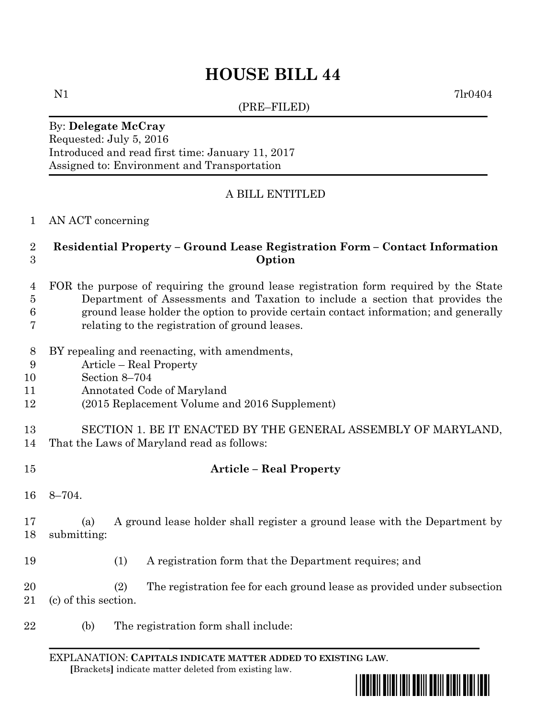# **HOUSE BILL 44**

(PRE–FILED)

N1 7lr0404

### By: **Delegate McCray** Requested: July 5, 2016 Introduced and read first time: January 11, 2017 Assigned to: Environment and Transportation

## A BILL ENTITLED

AN ACT concerning

### **Residential Property – Ground Lease Registration Form – Contact Information Option**

- FOR the purpose of requiring the ground lease registration form required by the State Department of Assessments and Taxation to include a section that provides the ground lease holder the option to provide certain contact information; and generally relating to the registration of ground leases.
- BY repealing and reenacting, with amendments,
- Article Real Property
- Section 8–704
- Annotated Code of Maryland
- (2015 Replacement Volume and 2016 Supplement)
- SECTION 1. BE IT ENACTED BY THE GENERAL ASSEMBLY OF MARYLAND, That the Laws of Maryland read as follows:
- **Article – Real Property**
	- 8–704.

 (a) A ground lease holder shall register a ground lease with the Department by submitting:

(1) A registration form that the Department requires; and

 (2) The registration fee for each ground lease as provided under subsection (c) of this section.

(b) The registration form shall include:

EXPLANATION: **CAPITALS INDICATE MATTER ADDED TO EXISTING LAW**.  **[**Brackets**]** indicate matter deleted from existing law.